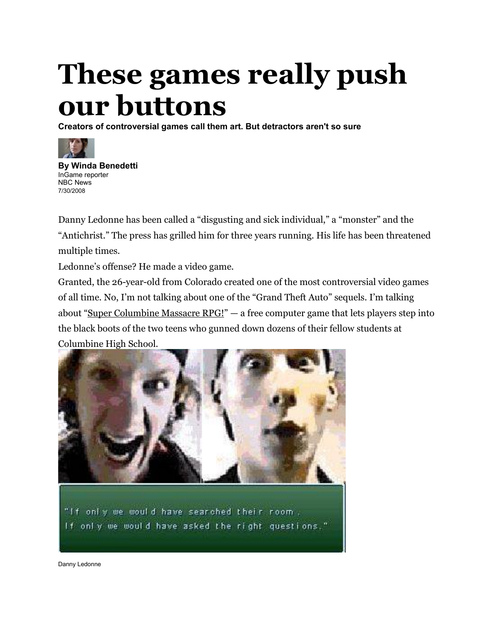# **These games really push our buttons**

**Creators of controversial games call them art. But detractors aren't so sure**



**By Winda Benedetti** InGame reporter NBC News 7/30/2008

Danny Ledonne has been called a "disgusting and sick individual," a "monster" and the "Antichrist." The press has grilled him for three years running. His life has been threatened multiple times.

Ledonne's offense? He made a video game.

Granted, the 26-year-old from Colorado created one of the most controversial video games of all time. No, I'm not talking about one of the "Grand Theft Auto" sequels. I'm talking about "Super [Columbine](http://www.columbinegame.com/) Massacre RPG!"  $-$  a free computer game that lets players step into the black boots of the two teens who gunned down dozens of their fellow students at Columbine High School.



"If only we would have searched their room. If only we would have asked the right questions."

Danny Ledonne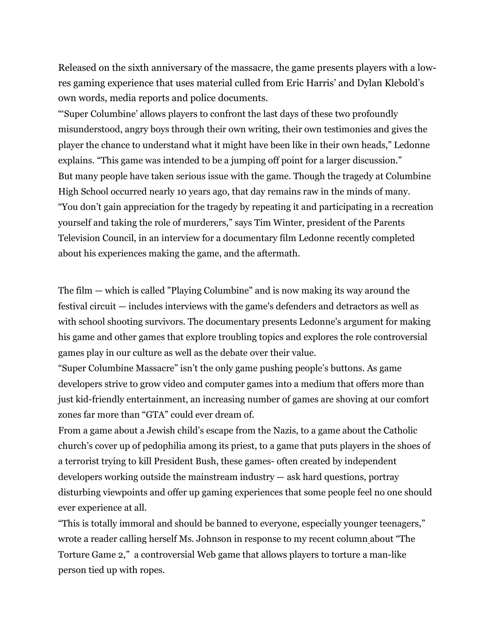Released on the sixth anniversary of the massacre, the game presents players with a lowres gaming experience that uses material culled from Eric Harris' and Dylan Klebold's own words, media reports and police documents.

"'Super Columbine' allows players to confront the last days of these two profoundly misunderstood, angry boys through their own writing, their own testimonies and gives the player the chance to understand what it might have been like in their own heads," Ledonne explains. "This game was intended to be a jumping off point for a larger discussion." But many people have taken serious issue with the game. Though the tragedy at Columbine High School occurred nearly 10 years ago, that day remains raw in the minds of many. "You don't gain appreciation for the tragedy by repeating it and participating in a recreation yourself and taking the role of murderers," says Tim Winter, president of the Parents Television Council, in an interview for a documentary film Ledonne recently completed about his experiences making the game, and the aftermath.

The film — which is called "Playing Columbine" and is now making its way around the festival circuit — includes interviews with the game's defenders and detractors as well as with school shooting survivors. The documentary presents Ledonne's argument for making his game and other games that explore troubling topics and explores the role controversial games play in our culture as well as the debate over their value.

"Super Columbine Massacre" isn't the only game pushing people's buttons. As game developers strive to grow video and computer games into a medium that offers more than just kid-friendly entertainment, an increasing number of games are shoving at our comfort zones far more than "GTA" could ever dream of.

From a game about a Jewish child's escape from the Nazis, to a game about the Catholic church's cover up of pedophilia among its priest, to a game that puts players in the shoes of a terrorist trying to kill President Bush, these [games-](http://www.nbcnews.com/id/25617869/ns/technology_and_science-games/t/games-will-push-your-buttons-boundaries/) often created by independent developers working outside the mainstream industry — ask hard questions, portray disturbing viewpoints and offer up gaming experiences that some people feel no one should ever experience at all.

"This is totally immoral and should be banned to everyone, especially younger teenagers," wrote a reader calling herself Ms. Johnson in response to my recent [column](https://editor.msnbc.msn.com/Editor/25337373) about "The Torture Game 2," a controversial Web game that allows players to torture a man-like person tied up with ropes.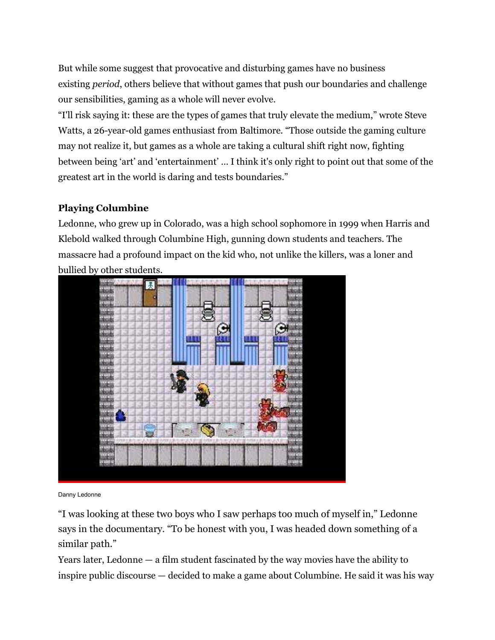But while some suggest that provocative and disturbing games have no business existing *period*, others believe that without games that push our boundaries and challenge our sensibilities, gaming as a whole will never evolve.

"I'll risk saying it: these are the types of games that truly elevate the medium," wrote Steve Watts, a 26-year-old games enthusiast from Baltimore. "Those outside the gaming culture may not realize it, but games as a whole are taking a cultural shift right now, fighting between being 'art' and 'entertainment' … I think it's only right to point out that some of the greatest art in the world is daring and tests boundaries."

### **Playing Columbine**

Ledonne, who grew up in Colorado, was a high school sophomore in 1999 when Harris and Klebold walked through Columbine High, gunning down students and teachers. The massacre had a profound impact on the kid who, not unlike the killers, was a loner and bullied by other students.



Danny Ledonne

"I was looking at these two boys who I saw perhaps too much of myself in," Ledonne says in the documentary. "To be honest with you, I was headed down something of a similar path."

Years later, Ledonne — a film student fascinated by the way movies have the ability to inspire public discourse — decided to make a game about Columbine. He said it was his way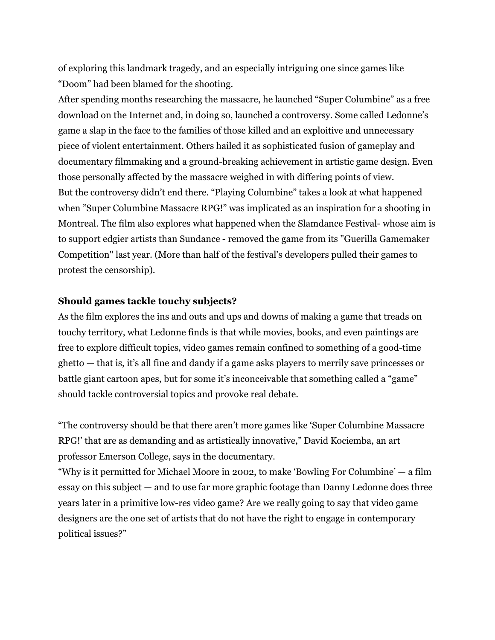of exploring this landmark tragedy, and an especially intriguing one since games like "Doom" had been blamed for the shooting.

After spending months researching the massacre, he launched "Super Columbine" as a free download on the Internet and, in doing so, launched a controversy. Some called Ledonne's game a slap in the face to the families of those killed and an exploitive and unnecessary piece of violent entertainment. Others hailed it as sophisticated fusion of gameplay and documentary filmmaking and a ground-breaking achievement in artistic game design. Even those personally affected by the massacre weighed in with differing points of view. But the controversy didn't end there. "Playing [Columbine"](http://www.playingcolumbine.com/) takes a look at what happened when "Super Columbine Massacre RPG!" was implicated as an inspiration for a shooting in Montreal. The film also explores what happened when the Slamdance Festival- whose aim is to support edgier artists than Sundance - [removed](http://www.nytimes.com/2007/01/28/arts/28chap.html) the game from its "Guerilla Gamemaker Competition" last year. (More than half of the festival's developers pulled their [games](http://kotaku.com/gaming/editorial/developers-protest-slamdance-game-festival-227145.php) to protest the censorship).

#### **Should games tackle touchy subjects?**

As the film explores the ins and outs and ups and downs of making a game that treads on touchy territory, what Ledonne finds is that while movies, books, and even paintings are free to explore difficult topics, video games remain confined to something of a good-time ghetto — that is, it's all fine and dandy if a game asks players to merrily save princesses or battle giant cartoon apes, but for some it's inconceivable that something called a "game" should tackle controversial topics and provoke real debate.

"The controversy should be that there aren't more games like 'Super Columbine Massacre RPG!' that are as demanding and as artistically innovative," David Kociemba, an art professor Emerson College, says in the documentary.

"Why is it permitted for Michael Moore in 2002, to make 'Bowling For Columbine' — a film essay on this subject — and to use far more graphic footage than Danny Ledonne does three years later in a primitive low-res video game? Are we really going to say that video game designers are the one set of artists that do not have the right to engage in contemporary political issues?"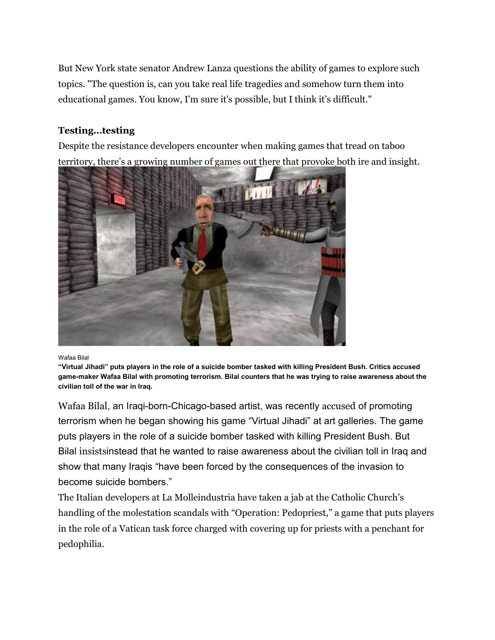But New York state senator Andrew Lanza questions the ability of games to explore such topics. "The question is, can you take real life tragedies and somehow turn them into educational games. You know, I'm sure it's possible, but I think it's difficult."

#### **Testing…testing**

Despite the resistance developers encounter when making games that tread on taboo territory, there's a growing number of games out there that [provoke](http://www.nbcnews.com/id/25617869/ns/technology_and_science-games/t/games-will-push-your-buttons-boundaries/) both ire and insight.



Wafaa Bilal

**"Virtual Jihadi" puts players in the role of a suicide bomber tasked with killing President Bush. Critics accused game-maker Wafaa Bilal with promoting terrorism. Bilal counters that he was trying to raise awareness about the civilian toll of the war in Iraq.**

[Wafaa](http://wafaabilal.com/) Bilal, an Iraqi-born-Chicago-based artist, was recently [accused](http://www.nbcnews.com/id/21134540/) of promoting terrorism when he began showing his game "Virtual Jihadi" at art galleries. The game puts players in the role of a suicide bomber tasked with killing President Bush. But Bilal [insists](http://www.nbcnews.com/id/21134540/)instead that he wanted to raise awareness about the civilian toll in Iraq and show that many Iraqis "have been forced by the consequences of the invasion to become suicide bombers."

The Italian developers at La [Molleindustria](http://www.molleindustria.org/en/about) have taken a jab at the Catholic Church's handling of the molestation scandals with "Operation: [Pedopriest,](http://www.molleindustria.org/en/operation-pedopriest)" a game that puts players in the role of a Vatican task force charged with covering up for priests with a penchant for pedophilia.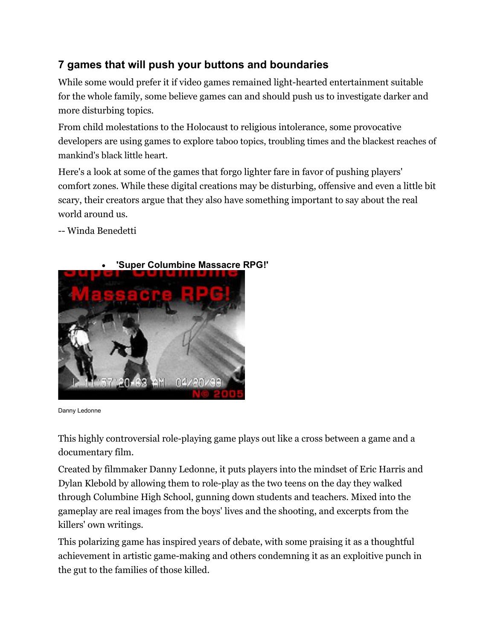## **7 games that will push your buttons and boundaries**

While some would prefer it if video games remained light-hearted entertainment suitable for the whole family, some believe games can and should push us to investigate darker and more disturbing topics.

From child molestations to the Holocaust to religious intolerance, some provocative developers are using games to explore taboo topics, [troubling](http://www.nbcnews.com/id/25835616/ns/technology_and_science-games/t/these-games-really-push-our-buttons/?ns=technology_and_science-games&t=these-games-really-push-our-buttons) times and the blackest reaches of [mankind's](http://www.nbcnews.com/id/25835616/ns/technology_and_science-games/t/these-games-really-push-our-buttons/?ns=technology_and_science-games&t=these-games-really-push-our-buttons) black little heart.

Here's a look at some of the games that forgo lighter fare in favor of pushing players' comfort zones. While these digital creations may be disturbing, offensive and even a little bit scary, their creators argue that they also have something important to say about the real world around us.

-- Winda Benedetti



Danny Ledonne

This highly controversial role-playing game plays out like a cross between a game and a documentary film.

Created by filmmaker Danny Ledonne, it puts players into the mindset of Eric Harris and Dylan Klebold by allowing them to [role-play](http://www.columbinegame.com/) as the two teens on the day they walked through Columbine High School, gunning down students and teachers. Mixed into the gameplay are real images from the boys' lives and the shooting, and excerpts from the killers' own writings.

This polarizing game has inspired years of debate, with some praising it as a thoughtful achievement in artistic game-making and others condemning it as an exploitive punch in the gut to the families of those killed.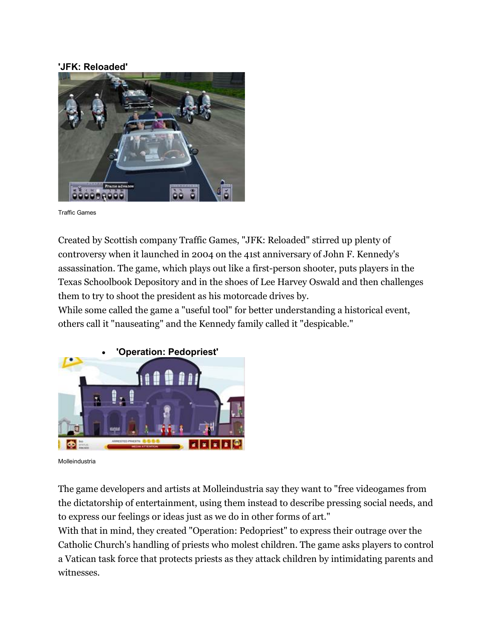#### **'JFK: Reloaded'**



Traffic Games

Created by Scottish company Traffic Games, "JFK: [Reloaded"](http://www.gamerunlimited.com/jfk.php) stirred up plenty of controversy when it launched in 2004 on the 41st anniversary of John F. Kennedy's assassination. The game, which plays out like a first-person shooter, puts players in the Texas Schoolbook Depository and in the shoes of Lee Harvey Oswald and then challenges them to try to shoot the president as his motorcade drives by.

While some called the game a ["useful](http://www.watercoolergames.org/archives/000296.shtml) tool" for better understanding a historical event, others call it ["nauseating"](http://www.slate.com/id/2110034/) and the Kennedy family called it "despicable."



Molleindustria

The game developers and artists at [Molleindustria](http://www.molleindustria.org/en/home) say they want to "free videogames from the dictatorship of entertainment, using them instead to describe pressing social needs, and to express our feelings or ideas just as we do in other forms of art."

With that in mind, they created ["Operation:](http://www.molleindustria.org/en/operation-pedopriest) Pedopriest" to express their outrage over the Catholic Church's handling of priests who molest children. The game asks players to control a Vatican task force that protects priests as they attack children by intimidating parents and witnesses.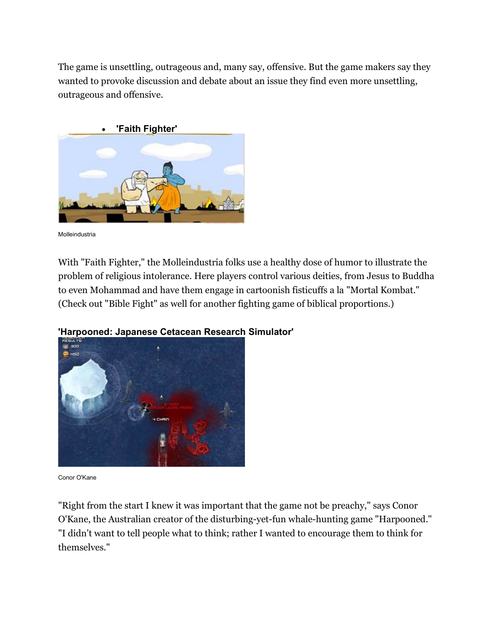The game is unsettling, outrageous and, many say, offensive. But the game makers say they wanted to provoke discussion and debate about an issue they find even more unsettling, outrageous and offensive.



Molleindustria

With "Faith [Fighter,](http://www.molleindustria.org/faith-fighter)" the Molleindustria folks use a healthy dose of humor to illustrate the problem of religious intolerance. Here players control various deities, from Jesus to Buddha to even Mohammad and have them engage in cartoonish fisticuffs a la "Mortal Kombat." (Check out "Bible [Fight"](http://games.adultswim.com/bible-fight-action-online-game.html) as well for another fighting game of biblical proportions.)



#### **'Harpooned: Japanese Cetacean Research Simulator'**

Conor O'Kane

"Right from the start I knew it was important that the game not be preachy," says [Conor](http://www.gamasutra.com/php-bin/news_index.php?story=17718) [O'Kane,](http://www.gamasutra.com/php-bin/news_index.php?story=17718) the Australian creator of the disturbing-yet-fun whale-hunting game ["Harpooned.](http://harpooned.org/)" "I didn't want to tell people what to think; rather I wanted to encourage them to think for themselves."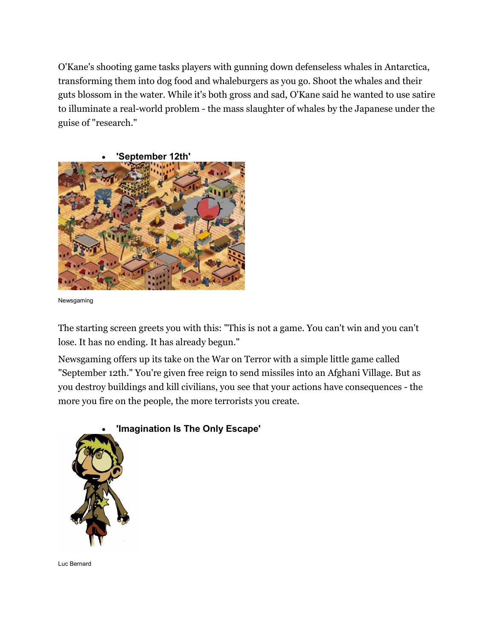O'Kane's shooting game tasks players with gunning down defenseless whales in Antarctica, transforming them into dog food and whaleburgers as you go. Shoot the whales and their guts blossom in the water. While it's both gross and sad, O'Kane said he wanted to use satire to illuminate a real-world problem - the mass slaughter of whales by the Japanese under the guise of "research."



Newsgaming

The starting screen greets you with this: "This is not a game. You can't win and you can't lose. It has no ending. It has already begun."

[Newsgaming](http://www.newsgaming.com/) offers up its take on the War on Terror with a simple little game called "September 12th." You're given free reign to send missiles into an Afghani Village. But as you destroy buildings and kill civilians, you see that your actions have consequences - the more you fire on the people, the more terrorists you create.



Luc Bernard